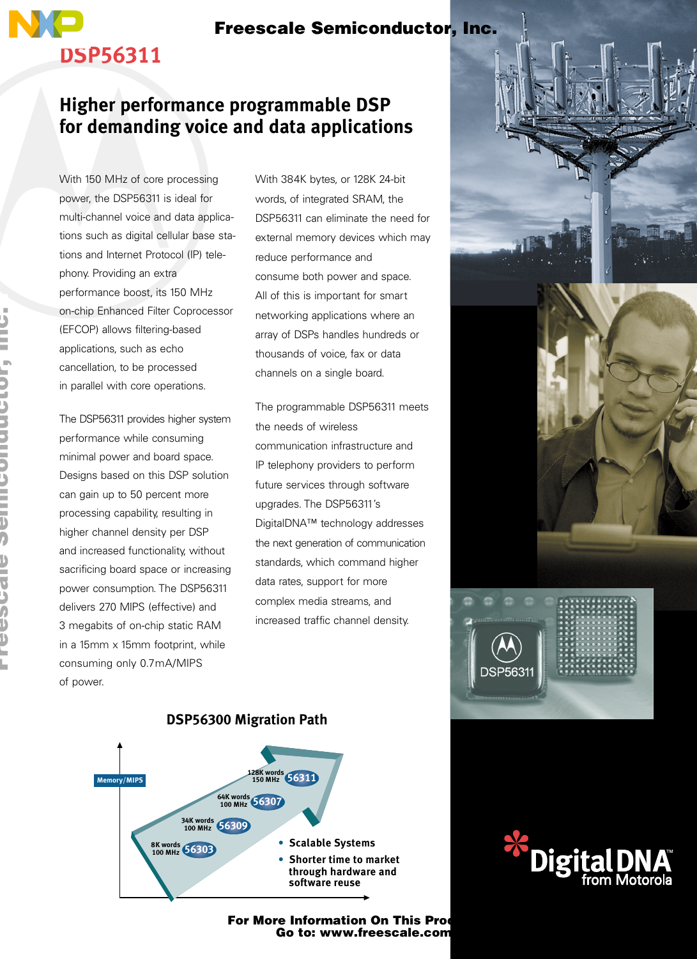### Freescale Semiconductor, Inc.

### **Higher performance programmable DSP for demanding voice and data applications**

With 150 MHz of core processing power, the DSP56311 is ideal for multi-channel voice and data applications such as digital cellular base stations and Internet Protocol (IP) telephony. Providing an extra performance boost, its 150 MHz on-chip Enhanced Filter Coprocessor (EFCOP) allows filtering-based applications, such as echo cancellation, to be processed in parallel with core operations.

**DSP56311**

The DSP56311 provides higher system performance while consuming minimal power and board space. Designs based on this DSP solution can gain up to 50 percent more processing capability, resulting in higher channel density per DSP and increased functionality, without sacrificing board space or increasing power consumption. The DSP56311 delivers 270 MIPS (effective) and 3 megabits of on-chip static RAM in a 15mm x 15mm footprint, while consuming only 0.7mA/MIPS of power.

With 384K bytes, or 128K 24-bit words, of integrated SRAM, the DSP56311 can eliminate the need for external memory devices which may reduce performance and consume both power and space. All of this is important for smart networking applications where an array of DSPs handles hundreds or thousands of voice, fax or data channels on a single board.

The programmable DSP56311 meets the needs of wireless communication infrastructure and IP telephony providers to perform future services through software upgrades. The DSP56311's DigitalDNA™ technology addresses the next generation of communication standards, which command higher data rates, support for more complex media streams, and increased traffic channel density.





**DSP56300 Migration Path**

## For More Information On This Production<br>Go to: www.freescale.com



F